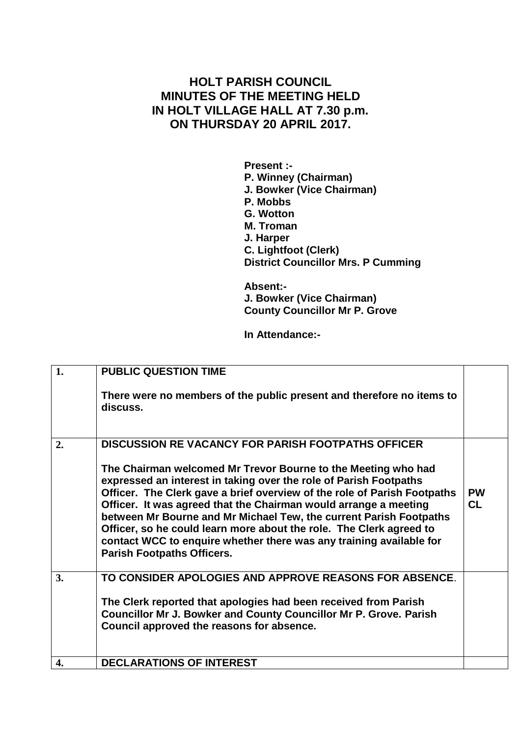## **HOLT PARISH COUNCIL MINUTES OF THE MEETING HELD IN HOLT VILLAGE HALL AT 7.30 p.m. ON THURSDAY 20 APRIL 2017.**

**Present :- P. Winney (Chairman) J. Bowker (Vice Chairman) P. Mobbs G. Wotton M. Troman J. Harper C. Lightfoot (Clerk) District Councillor Mrs. P Cumming**

**Absent:- J. Bowker (Vice Chairman) County Councillor Mr P. Grove**

**In Attendance:-**

| $\mathbf{1}$ . | <b>PUBLIC QUESTION TIME</b>                                                                                                                                                                                                                                                                                                                                                                                                                                                                                                                                                                              |                        |
|----------------|----------------------------------------------------------------------------------------------------------------------------------------------------------------------------------------------------------------------------------------------------------------------------------------------------------------------------------------------------------------------------------------------------------------------------------------------------------------------------------------------------------------------------------------------------------------------------------------------------------|------------------------|
|                | There were no members of the public present and therefore no items to<br>discuss.                                                                                                                                                                                                                                                                                                                                                                                                                                                                                                                        |                        |
| 2.             | <b>DISCUSSION RE VACANCY FOR PARISH FOOTPATHS OFFICER</b><br>The Chairman welcomed Mr Trevor Bourne to the Meeting who had<br>expressed an interest in taking over the role of Parish Footpaths<br>Officer. The Clerk gave a brief overview of the role of Parish Footpaths<br>Officer. It was agreed that the Chairman would arrange a meeting<br>between Mr Bourne and Mr Michael Tew, the current Parish Footpaths<br>Officer, so he could learn more about the role. The Clerk agreed to<br>contact WCC to enquire whether there was any training available for<br><b>Parish Footpaths Officers.</b> | <b>PW</b><br><b>CL</b> |
| 3.             | TO CONSIDER APOLOGIES AND APPROVE REASONS FOR ABSENCE.<br>The Clerk reported that apologies had been received from Parish<br><b>Councillor Mr J. Bowker and County Councillor Mr P. Grove. Parish</b><br>Council approved the reasons for absence.                                                                                                                                                                                                                                                                                                                                                       |                        |
| 4.             | <b>DECLARATIONS OF INTEREST</b>                                                                                                                                                                                                                                                                                                                                                                                                                                                                                                                                                                          |                        |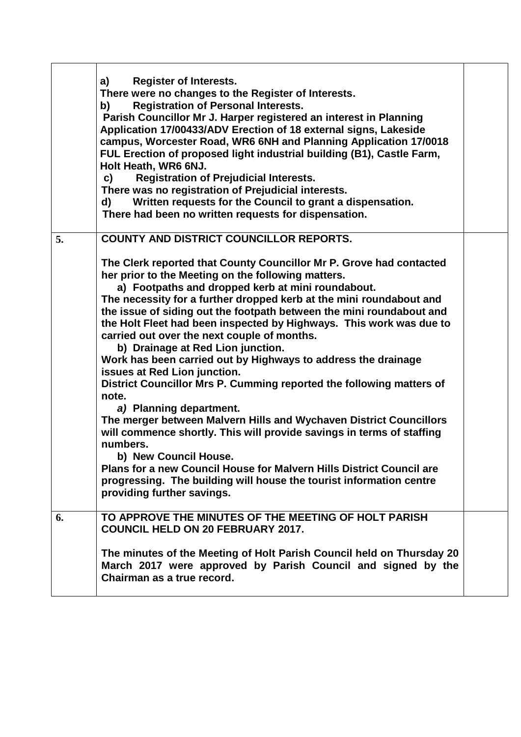|    | <b>Register of Interests.</b><br>a)<br>There were no changes to the Register of Interests.<br><b>Registration of Personal Interests.</b><br>b)<br>Parish Councillor Mr J. Harper registered an interest in Planning<br>Application 17/00433/ADV Erection of 18 external signs, Lakeside<br>campus, Worcester Road, WR6 6NH and Planning Application 17/0018<br>FUL Erection of proposed light industrial building (B1), Castle Farm,<br>Holt Heath, WR6 6NJ.<br><b>Registration of Prejudicial Interests.</b><br>c)<br>There was no registration of Prejudicial interests.<br>Written requests for the Council to grant a dispensation.<br>d)<br>There had been no written requests for dispensation.                                                                                                                                                                                                                                                                                                                                                                  |  |
|----|------------------------------------------------------------------------------------------------------------------------------------------------------------------------------------------------------------------------------------------------------------------------------------------------------------------------------------------------------------------------------------------------------------------------------------------------------------------------------------------------------------------------------------------------------------------------------------------------------------------------------------------------------------------------------------------------------------------------------------------------------------------------------------------------------------------------------------------------------------------------------------------------------------------------------------------------------------------------------------------------------------------------------------------------------------------------|--|
| 5. | <b>COUNTY AND DISTRICT COUNCILLOR REPORTS.</b>                                                                                                                                                                                                                                                                                                                                                                                                                                                                                                                                                                                                                                                                                                                                                                                                                                                                                                                                                                                                                         |  |
|    | The Clerk reported that County Councillor Mr P. Grove had contacted<br>her prior to the Meeting on the following matters.<br>a) Footpaths and dropped kerb at mini roundabout.<br>The necessity for a further dropped kerb at the mini roundabout and<br>the issue of siding out the footpath between the mini roundabout and<br>the Holt Fleet had been inspected by Highways. This work was due to<br>carried out over the next couple of months.<br>b) Drainage at Red Lion junction.<br>Work has been carried out by Highways to address the drainage<br>issues at Red Lion junction.<br>District Councillor Mrs P. Cumming reported the following matters of<br>note.<br>a) Planning department.<br>The merger between Malvern Hills and Wychaven District Councillors<br>will commence shortly. This will provide savings in terms of staffing<br>numbers.<br>b) New Council House.<br>Plans for a new Council House for Malvern Hills District Council are<br>progressing. The building will house the tourist information centre<br>providing further savings. |  |
| 6. | TO APPROVE THE MINUTES OF THE MEETING OF HOLT PARISH<br><b>COUNCIL HELD ON 20 FEBRUARY 2017.</b><br>The minutes of the Meeting of Holt Parish Council held on Thursday 20<br>March 2017 were approved by Parish Council and signed by the<br>Chairman as a true record.                                                                                                                                                                                                                                                                                                                                                                                                                                                                                                                                                                                                                                                                                                                                                                                                |  |
|    |                                                                                                                                                                                                                                                                                                                                                                                                                                                                                                                                                                                                                                                                                                                                                                                                                                                                                                                                                                                                                                                                        |  |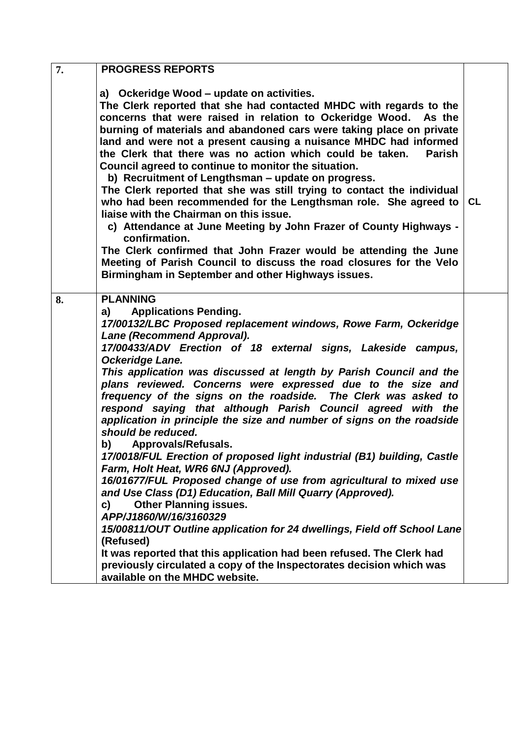| 7. | <b>PROGRESS REPORTS</b>                                                                                     |    |
|----|-------------------------------------------------------------------------------------------------------------|----|
|    |                                                                                                             |    |
|    | a) Ockeridge Wood – update on activities.                                                                   |    |
|    | The Clerk reported that she had contacted MHDC with regards to the                                          |    |
|    | concerns that were raised in relation to Ockeridge Wood. As the                                             |    |
|    | burning of materials and abandoned cars were taking place on private                                        |    |
|    | land and were not a present causing a nuisance MHDC had informed                                            |    |
|    | the Clerk that there was no action which could be taken.<br><b>Parish</b>                                   |    |
|    | Council agreed to continue to monitor the situation.                                                        |    |
|    | b) Recruitment of Lengthsman - update on progress.                                                          |    |
|    | The Clerk reported that she was still trying to contact the individual                                      |    |
|    | who had been recommended for the Lengthsman role. She agreed to                                             | CL |
|    | liaise with the Chairman on this issue.                                                                     |    |
|    | c) Attendance at June Meeting by John Frazer of County Highways -                                           |    |
|    | confirmation.                                                                                               |    |
|    | The Clerk confirmed that John Frazer would be attending the June                                            |    |
|    | Meeting of Parish Council to discuss the road closures for the Velo                                         |    |
|    | Birmingham in September and other Highways issues.                                                          |    |
|    |                                                                                                             |    |
| 8. | <b>PLANNING</b>                                                                                             |    |
|    | <b>Applications Pending.</b><br>a)                                                                          |    |
|    | 17/00132/LBC Proposed replacement windows, Rowe Farm, Ockeridge                                             |    |
|    | Lane (Recommend Approval).                                                                                  |    |
|    | 17/00433/ADV Erection of 18 external signs, Lakeside campus,                                                |    |
|    | Ockeridge Lane.                                                                                             |    |
|    | This application was discussed at length by Parish Council and the                                          |    |
|    | plans reviewed. Concerns were expressed due to the size and                                                 |    |
|    | frequency of the signs on the roadside. The Clerk was asked to                                              |    |
|    | respond saying that although Parish Council agreed with the                                                 |    |
|    | application in principle the size and number of signs on the roadside<br>should be reduced.                 |    |
|    |                                                                                                             |    |
|    | <b>Approvals/Refusals.</b><br>b)<br>17/0018/FUL Erection of proposed light industrial (B1) building, Castle |    |
|    | Farm, Holt Heat, WR6 6NJ (Approved).                                                                        |    |
|    | 16/01677/FUL Proposed change of use from agricultural to mixed use                                          |    |
|    | and Use Class (D1) Education, Ball Mill Quarry (Approved).                                                  |    |
|    | <b>Other Planning issues.</b><br>c)                                                                         |    |
|    | APP/J1860/W/16/3160329                                                                                      |    |
|    | 15/00811/OUT Outline application for 24 dwellings, Field off School Lane                                    |    |
|    | (Refused)                                                                                                   |    |
|    | It was reported that this application had been refused. The Clerk had                                       |    |
|    | previously circulated a copy of the Inspectorates decision which was                                        |    |
|    | available on the MHDC website.                                                                              |    |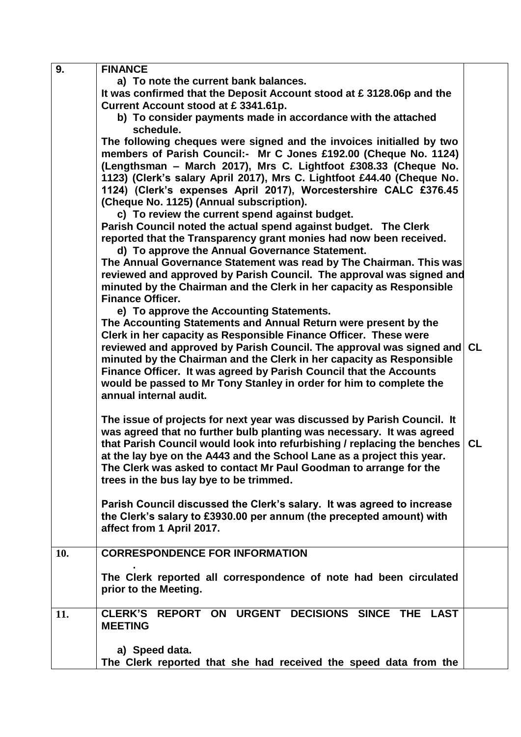| 9.  | <b>FINANCE</b>                                                                                                                                 |           |
|-----|------------------------------------------------------------------------------------------------------------------------------------------------|-----------|
|     | a) To note the current bank balances.                                                                                                          |           |
|     | It was confirmed that the Deposit Account stood at £3128.06p and the                                                                           |           |
|     | Current Account stood at £3341.61p.                                                                                                            |           |
|     | b) To consider payments made in accordance with the attached                                                                                   |           |
|     | schedule.                                                                                                                                      |           |
|     | The following cheques were signed and the invoices initialled by two                                                                           |           |
|     | members of Parish Council:- Mr C Jones £192.00 (Cheque No. 1124)                                                                               |           |
|     | (Lengthsman - March 2017), Mrs C. Lightfoot £308.33 (Cheque No.                                                                                |           |
|     | 1123) (Clerk's salary April 2017), Mrs C. Lightfoot £44.40 (Cheque No.                                                                         |           |
|     | 1124) (Clerk's expenses April 2017), Worcestershire CALC £376.45                                                                               |           |
|     | (Cheque No. 1125) (Annual subscription).                                                                                                       |           |
|     | c) To review the current spend against budget.                                                                                                 |           |
|     | Parish Council noted the actual spend against budget. The Clerk                                                                                |           |
|     | reported that the Transparency grant monies had now been received.                                                                             |           |
|     |                                                                                                                                                |           |
|     | d) To approve the Annual Governance Statement.                                                                                                 |           |
|     | The Annual Governance Statement was read by The Chairman. This was                                                                             |           |
|     | reviewed and approved by Parish Council. The approval was signed and                                                                           |           |
|     | minuted by the Chairman and the Clerk in her capacity as Responsible<br><b>Finance Officer.</b>                                                |           |
|     |                                                                                                                                                |           |
|     | e) To approve the Accounting Statements.                                                                                                       |           |
|     | The Accounting Statements and Annual Return were present by the                                                                                |           |
|     | Clerk in her capacity as Responsible Finance Officer. These were                                                                               |           |
|     | reviewed and approved by Parish Council. The approval was signed and                                                                           | <b>CL</b> |
|     | minuted by the Chairman and the Clerk in her capacity as Responsible                                                                           |           |
|     | Finance Officer. It was agreed by Parish Council that the Accounts                                                                             |           |
|     | would be passed to Mr Tony Stanley in order for him to complete the                                                                            |           |
|     | annual internal audit.                                                                                                                         |           |
|     | The issue of projects for next year was discussed by Parish Council. It                                                                        |           |
|     | was agreed that no further bulb planting was necessary. It was agreed                                                                          |           |
|     |                                                                                                                                                |           |
|     | that Parish Council would look into refurbishing / replacing the benches                                                                       | <b>CL</b> |
|     | at the lay bye on the A443 and the School Lane as a project this year.                                                                         |           |
|     | The Clerk was asked to contact Mr Paul Goodman to arrange for the                                                                              |           |
|     | trees in the bus lay bye to be trimmed.                                                                                                        |           |
|     |                                                                                                                                                |           |
|     | Parish Council discussed the Clerk's salary. It was agreed to increase<br>the Clerk's salary to £3930.00 per annum (the precepted amount) with |           |
|     | affect from 1 April 2017.                                                                                                                      |           |
|     |                                                                                                                                                |           |
| 10. | <b>CORRESPONDENCE FOR INFORMATION</b>                                                                                                          |           |
|     |                                                                                                                                                |           |
|     | The Clerk reported all correspondence of note had been circulated                                                                              |           |
|     | prior to the Meeting.                                                                                                                          |           |
|     |                                                                                                                                                |           |
| 11. | CLERK'S REPORT ON URGENT DECISIONS SINCE THE LAST                                                                                              |           |
|     | <b>MEETING</b>                                                                                                                                 |           |
|     |                                                                                                                                                |           |
|     | a) Speed data.                                                                                                                                 |           |
|     | The Clerk reported that she had received the speed data from the                                                                               |           |